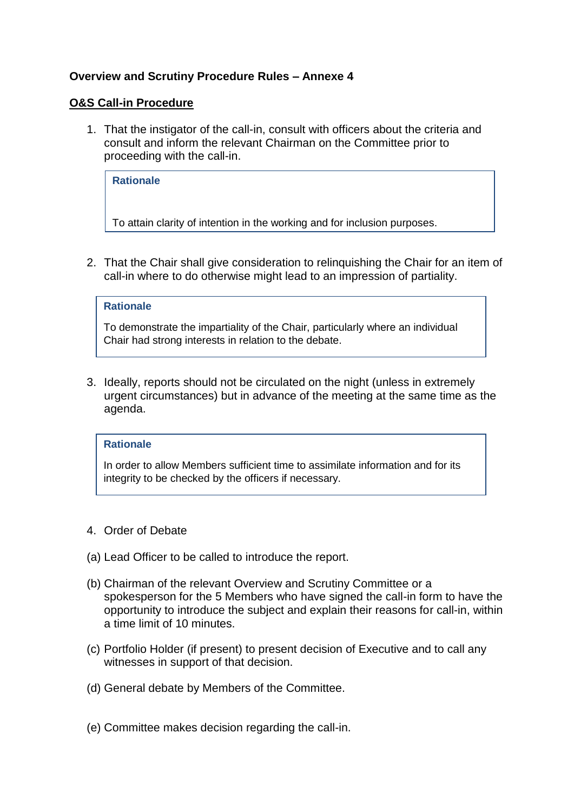## **Overview and Scrutiny Procedure Rules – Annexe 4**

#### **O&S Call-in Procedure**

1. That the instigator of the call-in, consult with officers about the criteria and consult and inform the relevant Chairman on the Committee prior to proceeding with the call-in.

**Rationale**

To attain clarity of intention in the working and for inclusion purposes.

2. That the Chair shall give consideration to relinquishing the Chair for an item of call-in where to do otherwise might lead to an impression of partiality.

#### **Rationale**

To demonstrate the impartiality of the Chair, particularly where an individual Chair had strong interests in relation to the debate.

3. Ideally, reports should not be circulated on the night (unless in extremely urgent circumstances) but in advance of the meeting at the same time as the agenda.

#### **Rationale**

In order to allow Members sufficient time to assimilate information and for its integrity to be checked by the officers if necessary.

- 4. Order of Debate
- (a) Lead Officer to be called to introduce the report.
- (b) Chairman of the relevant Overview and Scrutiny Committee or a spokesperson for the 5 Members who have signed the call-in form to have the opportunity to introduce the subject and explain their reasons for call-in, within a time limit of 10 minutes.
- (c) Portfolio Holder (if present) to present decision of Executive and to call any witnesses in support of that decision.
- (d) General debate by Members of the Committee.
- (e) Committee makes decision regarding the call-in.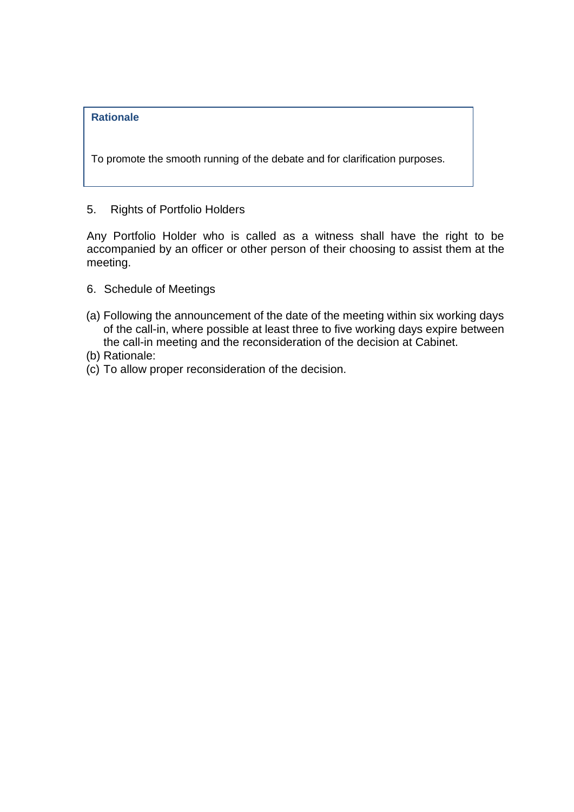### **Rationale**

To promote the smooth running of the debate and for clarification purposes.

5. Rights of Portfolio Holders

Any Portfolio Holder who is called as a witness shall have the right to be accompanied by an officer or other person of their choosing to assist them at the meeting.

- 6. Schedule of Meetings
- (a) Following the announcement of the date of the meeting within six working days of the call-in, where possible at least three to five working days expire between the call-in meeting and the reconsideration of the decision at Cabinet.
- (b) Rationale:
- (c) To allow proper reconsideration of the decision.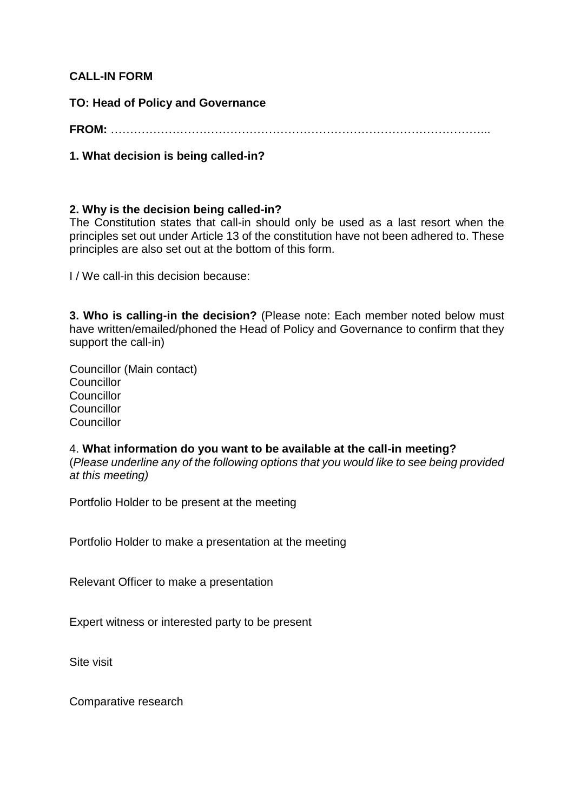## **CALL-IN FORM**

**TO: Head of Policy and Governance**

**FROM:** ……………………………………………………………………………………...

**1. What decision is being called-in?**

# **2. Why is the decision being called-in?**

The Constitution states that call-in should only be used as a last resort when the principles set out under Article 13 of the constitution have not been adhered to. These principles are also set out at the bottom of this form.

I / We call-in this decision because:

**3. Who is calling-in the decision?** (Please note: Each member noted below must have written/emailed/phoned the Head of Policy and Governance to confirm that they support the call-in)

Councillor (Main contact) **Councillor Councillor Councillor Councillor** 

4. **What information do you want to be available at the call-in meeting?** (*Please underline any of the following options that you would like to see being provided at this meeting)*

Portfolio Holder to be present at the meeting

Portfolio Holder to make a presentation at the meeting

Relevant Officer to make a presentation

Expert witness or interested party to be present

Site visit

Comparative research